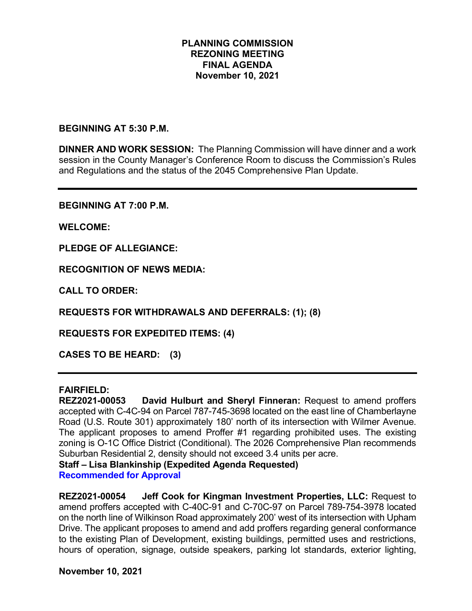## **PLANNING COMMISSION REZONING MEETING FINAL AGENDA November 10, 2021**

**BEGINNING AT 5:30 P.M.**

**DINNER AND WORK SESSION:** The Planning Commission will have dinner and a work session in the County Manager's Conference Room to discuss the Commission's Rules and Regulations and the status of the 2045 Comprehensive Plan Update.

**BEGINNING AT 7:00 P.M.**

**WELCOME:**

**PLEDGE OF ALLEGIANCE:**

**RECOGNITION OF NEWS MEDIA:**

**CALL TO ORDER:**

**REQUESTS FOR WITHDRAWALS AND DEFERRALS: (1); (8)**

**REQUESTS FOR EXPEDITED ITEMS: (4)**

**CASES TO BE HEARD: (3)**

## **FAIRFIELD:**

**REZ2021-00053 David Hulburt and Sheryl Finneran:** Request to amend proffers accepted with C-4C-94 on Parcel 787-745-3698 located on the east line of Chamberlayne Road (U.S. Route 301) approximately 180' north of its intersection with Wilmer Avenue. The applicant proposes to amend Proffer #1 regarding prohibited uses. The existing zoning is O-1C Office District (Conditional). The 2026 Comprehensive Plan recommends Suburban Residential 2, density should not exceed 3.4 units per acre.

**Staff – Lisa Blankinship (Expedited Agenda Requested)**

**Recommended for Approval**

**REZ2021-00054 Jeff Cook for Kingman Investment Properties, LLC:** Request to amend proffers accepted with C-40C-91 and C-70C-97 on Parcel 789-754-3978 located on the north line of Wilkinson Road approximately 200' west of its intersection with Upham Drive. The applicant proposes to amend and add proffers regarding general conformance to the existing Plan of Development, existing buildings, permitted uses and restrictions, hours of operation, signage, outside speakers, parking lot standards, exterior lighting,

**November 10, 2021**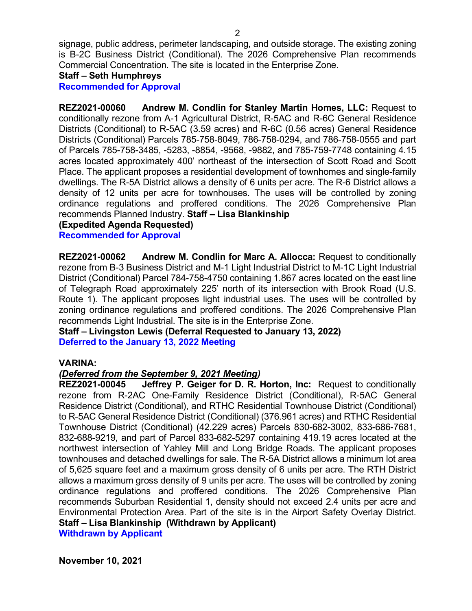signage, public address, perimeter landscaping, and outside storage. The existing zoning is B-2C Business District (Conditional). The 2026 Comprehensive Plan recommends Commercial Concentration. The site is located in the Enterprise Zone.

# **Staff – Seth Humphreys**

**Recommended for Approval**

**REZ2021-00060 Andrew M. Condlin for Stanley Martin Homes, LLC:** Request to conditionally rezone from A-1 Agricultural District, R-5AC and R-6C General Residence Districts (Conditional) to R-5AC (3.59 acres) and R-6C (0.56 acres) General Residence Districts (Conditional) Parcels 785-758-8049, 786-758-0294, and 786-758-0555 and part of Parcels 785-758-3485, -5283, -8854, -9568, -9882, and 785-759-7748 containing 4.15 acres located approximately 400' northeast of the intersection of Scott Road and Scott Place. The applicant proposes a residential development of townhomes and single-family dwellings. The R-5A District allows a density of 6 units per acre. The R-6 District allows a density of 12 units per acre for townhouses. The uses will be controlled by zoning ordinance regulations and proffered conditions. The 2026 Comprehensive Plan recommends Planned Industry. **Staff – Lisa Blankinship** 

## **(Expedited Agenda Requested)**

**Recommended for Approval**

**REZ2021-00062 Andrew M. Condlin for Marc A. Allocca:** Request to conditionally rezone from B-3 Business District and M-1 Light Industrial District to M-1C Light Industrial District (Conditional) Parcel 784-758-4750 containing 1.867 acres located on the east line of Telegraph Road approximately 225' north of its intersection with Brook Road (U.S. Route 1). The applicant proposes light industrial uses. The uses will be controlled by zoning ordinance regulations and proffered conditions. The 2026 Comprehensive Plan recommends Light Industrial. The site is in the Enterprise Zone.

**Staff – Livingston Lewis (Deferral Requested to January 13, 2022) Deferred to the January 13, 2022 Meeting**

## **VARINA:**

## *(Deferred from the September 9, 2021 Meeting)*

**REZ2021-00045 Jeffrey P. Geiger for D. R. Horton, Inc:** Request to conditionally rezone from R-2AC One-Family Residence District (Conditional), R-5AC General Residence District (Conditional), and RTHC Residential Townhouse District (Conditional) to R-5AC General Residence District (Conditional) (376.961 acres) and RTHC Residential Townhouse District (Conditional) (42.229 acres) Parcels 830-682-3002, 833-686-7681, 832-688-9219, and part of Parcel 833-682-5297 containing 419.19 acres located at the northwest intersection of Yahley Mill and Long Bridge Roads. The applicant proposes townhouses and detached dwellings for sale. The R-5A District allows a minimum lot area of 5,625 square feet and a maximum gross density of 6 units per acre. The RTH District allows a maximum gross density of 9 units per acre. The uses will be controlled by zoning ordinance regulations and proffered conditions. The 2026 Comprehensive Plan recommends Suburban Residential 1, density should not exceed 2.4 units per acre and Environmental Protection Area. Part of the site is in the Airport Safety Overlay District. **Staff – Lisa Blankinship (Withdrawn by Applicant) Withdrawn by Applicant**

**November 10, 2021**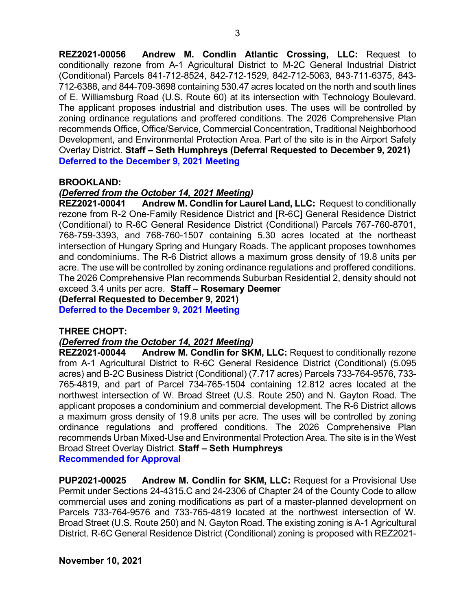**REZ2021-00056 Andrew M. Condlin Atlantic Crossing, LLC:** Request to conditionally rezone from A-1 Agricultural District to M-2C General Industrial District (Conditional) Parcels 841-712-8524, 842-712-1529, 842-712-5063, 843-711-6375, 843- 712-6388, and 844-709-3698 containing 530.47 acres located on the north and south lines of E. Williamsburg Road (U.S. Route 60) at its intersection with Technology Boulevard. The applicant proposes industrial and distribution uses. The uses will be controlled by zoning ordinance regulations and proffered conditions. The 2026 Comprehensive Plan recommends Office, Office/Service, Commercial Concentration, Traditional Neighborhood Development, and Environmental Protection Area. Part of the site is in the Airport Safety Overlay District. **Staff – Seth Humphreys (Deferral Requested to December 9, 2021) Deferred to the December 9, 2021 Meeting**

## **BROOKLAND:**

## *(Deferred from the October 14, 2021 Meeting)*

**REZ2021-00041 Andrew M. Condlin for Laurel Land, LLC:** Request to conditionally rezone from R-2 One-Family Residence District and [R-6C] General Residence District (Conditional) to R-6C General Residence District (Conditional) Parcels 767-760-8701, 768-759-3393, and 768-760-1507 containing 5.30 acres located at the northeast intersection of Hungary Spring and Hungary Roads. The applicant proposes townhomes and condominiums. The R-6 District allows a maximum gross density of 19.8 units per acre. The use will be controlled by zoning ordinance regulations and proffered conditions. The 2026 Comprehensive Plan recommends Suburban Residential 2, density should not exceed 3.4 units per acre. **Staff – Rosemary Deemer (Deferral Requested to December 9, 2021)**

**Deferred to the December 9, 2021 Meeting**

#### **THREE CHOPT:**

## *(Deferred from the October 14, 2021 Meeting)*

**REZ2021-00044 Andrew M. Condlin for SKM, LLC:** Request to conditionally rezone from A-1 Agricultural District to R-6C General Residence District (Conditional) (5.095 acres) and B-2C Business District (Conditional) (7.717 acres) Parcels 733-764-9576, 733- 765-4819, and part of Parcel 734-765-1504 containing 12.812 acres located at the northwest intersection of W. Broad Street (U.S. Route 250) and N. Gayton Road. The applicant proposes a condominium and commercial development. The R-6 District allows a maximum gross density of 19.8 units per acre. The uses will be controlled by zoning ordinance regulations and proffered conditions. The 2026 Comprehensive Plan recommends Urban Mixed-Use and Environmental Protection Area. The site is in the West Broad Street Overlay District. **Staff – Seth Humphreys Recommended for Approval**

**PUP2021-00025 Andrew M. Condlin for SKM, LLC:** Request for a Provisional Use Permit under Sections 24-4315.C and 24-2306 of Chapter 24 of the County Code to allow commercial uses and zoning modifications as part of a master-planned development on Parcels 733-764-9576 and 733-765-4819 located at the northwest intersection of W. Broad Street (U.S. Route 250) and N. Gayton Road. The existing zoning is A-1 Agricultural District. R-6C General Residence District (Conditional) zoning is proposed with REZ2021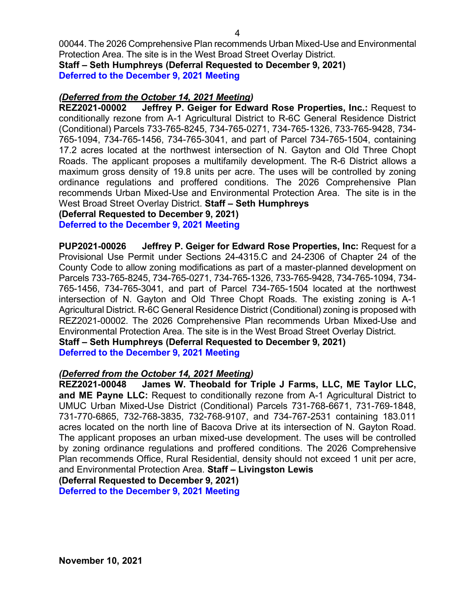00044. The 2026 Comprehensive Plan recommends Urban Mixed-Use and Environmental Protection Area. The site is in the West Broad Street Overlay District. **Staff – Seth Humphreys (Deferral Requested to December 9, 2021) Deferred to the December 9, 2021 Meeting**

## *(Deferred from the October 14, 2021 Meeting)*

**REZ2021-00002 Jeffrey P. Geiger for Edward Rose Properties, Inc.:** Request to conditionally rezone from A-1 Agricultural District to R-6C General Residence District (Conditional) Parcels 733-765-8245, 734-765-0271, 734-765-1326, 733-765-9428, 734- 765-1094, 734-765-1456, 734-765-3041, and part of Parcel 734-765-1504, containing 17.2 acres located at the northwest intersection of N. Gayton and Old Three Chopt Roads. The applicant proposes a multifamily development. The R-6 District allows a maximum gross density of 19.8 units per acre. The uses will be controlled by zoning ordinance regulations and proffered conditions. The 2026 Comprehensive Plan recommends Urban Mixed-Use and Environmental Protection Area. The site is in the West Broad Street Overlay District. **Staff – Seth Humphreys**

**(Deferral Requested to December 9, 2021)**

**Deferred to the December 9, 2021 Meeting**

**PUP2021-00026 Jeffrey P. Geiger for Edward Rose Properties, Inc:** Request for a Provisional Use Permit under Sections 24-4315.C and 24-2306 of Chapter 24 of the County Code to allow zoning modifications as part of a master-planned development on Parcels 733-765-8245, 734-765-0271, 734-765-1326, 733-765-9428, 734-765-1094, 734- 765-1456, 734-765-3041, and part of Parcel 734-765-1504 located at the northwest intersection of N. Gayton and Old Three Chopt Roads. The existing zoning is A-1 Agricultural District. R-6C General Residence District (Conditional) zoning is proposed with REZ2021-00002. The 2026 Comprehensive Plan recommends Urban Mixed-Use and Environmental Protection Area. The site is in the West Broad Street Overlay District. **Staff – Seth Humphreys (Deferral Requested to December 9, 2021)**

**Deferred to the December 9, 2021 Meeting**

## *(Deferred from the October 14, 2021 Meeting)*

**REZ2021-00048 James W. Theobald for Triple J Farms, LLC, ME Taylor LLC, and ME Payne LLC:** Request to conditionally rezone from A-1 Agricultural District to UMUC Urban Mixed-Use District (Conditional) Parcels 731-768-6671, 731-769-1848, 731-770-6865, 732-768-3835, 732-768-9107, and 734-767-2531 containing 183.011 acres located on the north line of Bacova Drive at its intersection of N. Gayton Road. The applicant proposes an urban mixed-use development. The uses will be controlled by zoning ordinance regulations and proffered conditions. The 2026 Comprehensive Plan recommends Office, Rural Residential, density should not exceed 1 unit per acre, and Environmental Protection Area. **Staff – Livingston Lewis** 

**(Deferral Requested to December 9, 2021)**

**Deferred to the December 9, 2021 Meeting**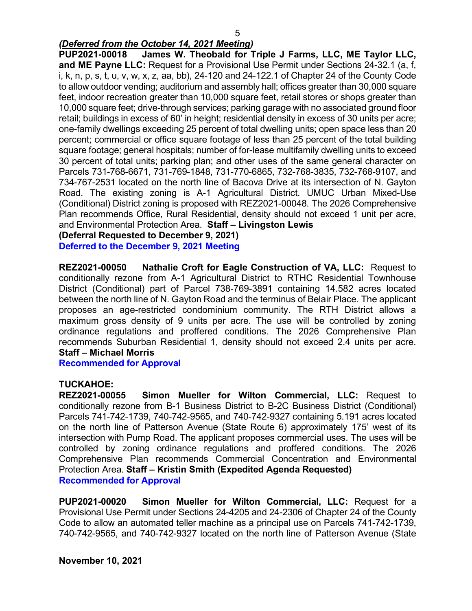## *(Deferred from the October 14, 2021 Meeting)*

**PUP2021-00018 James W. Theobald for Triple J Farms, LLC, ME Taylor LLC, and ME Payne LLC:** Request for a Provisional Use Permit under Sections 24-32.1 (a, f, i, k, n, p, s, t, u, v, w, x, z, aa, bb), 24-120 and 24-122.1 of Chapter 24 of the County Code to allow outdoor vending; auditorium and assembly hall; offices greater than 30,000 square feet, indoor recreation greater than 10,000 square feet, retail stores or shops greater than 10,000 square feet; drive-through services; parking garage with no associated ground floor retail; buildings in excess of 60' in height; residential density in excess of 30 units per acre; one-family dwellings exceeding 25 percent of total dwelling units; open space less than 20 percent; commercial or office square footage of less than 25 percent of the total building square footage; general hospitals; number of for-lease multifamily dwelling units to exceed 30 percent of total units; parking plan; and other uses of the same general character on Parcels 731-768-6671, 731-769-1848, 731-770-6865, 732-768-3835, 732-768-9107, and 734-767-2531 located on the north line of Bacova Drive at its intersection of N. Gayton Road. The existing zoning is A-1 Agricultural District. UMUC Urban Mixed-Use (Conditional) District zoning is proposed with REZ2021-00048. The 2026 Comprehensive Plan recommends Office, Rural Residential, density should not exceed 1 unit per acre, and Environmental Protection Area. **Staff – Livingston Lewis** 

**(Deferral Requested to December 9, 2021)**

**Deferred to the December 9, 2021 Meeting**

**REZ2021-00050 Nathalie Croft for Eagle Construction of VA, LLC:** Request to conditionally rezone from A-1 Agricultural District to RTHC Residential Townhouse District (Conditional) part of Parcel 738-769-3891 containing 14.582 acres located between the north line of N. Gayton Road and the terminus of Belair Place. The applicant proposes an age-restricted condominium community. The RTH District allows a maximum gross density of 9 units per acre. The use will be controlled by zoning ordinance regulations and proffered conditions. The 2026 Comprehensive Plan recommends Suburban Residential 1, density should not exceed 2.4 units per acre. **Staff – Michael Morris**

**Recommended for Approval**

## **TUCKAHOE:**

**REZ2021-00055 Simon Mueller for Wilton Commercial, LLC:** Request to conditionally rezone from B-1 Business District to B-2C Business District (Conditional) Parcels 741-742-1739, 740-742-9565, and 740-742-9327 containing 5.191 acres located on the north line of Patterson Avenue (State Route 6) approximately 175' west of its intersection with Pump Road. The applicant proposes commercial uses. The uses will be controlled by zoning ordinance regulations and proffered conditions. The 2026 Comprehensive Plan recommends Commercial Concentration and Environmental Protection Area. **Staff – Kristin Smith (Expedited Agenda Requested) Recommended for Approval**

**PUP2021-00020 Simon Mueller for Wilton Commercial, LLC:** Request for a Provisional Use Permit under Sections 24-4205 and 24-2306 of Chapter 24 of the County Code to allow an automated teller machine as a principal use on Parcels 741-742-1739, 740-742-9565, and 740-742-9327 located on the north line of Patterson Avenue (State